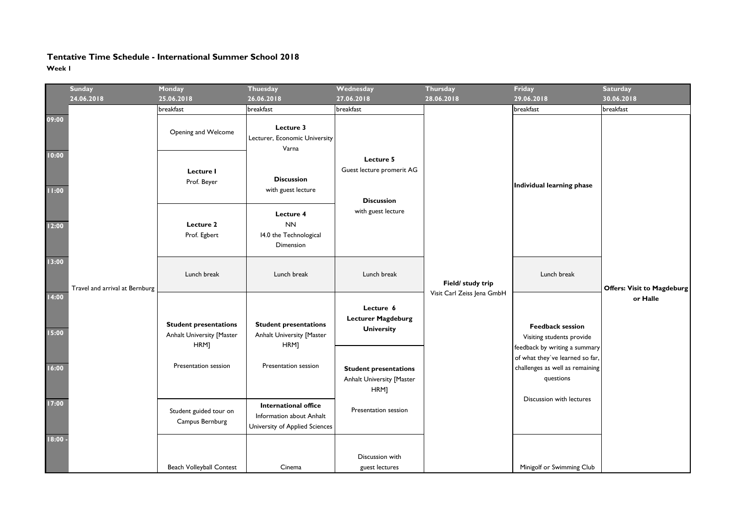## **Tentative Time Schedule - International Summer School 2018Week 1**

|                | <b>Sunday</b><br>24.06.2018    | Monday<br>25.06.2018                                              | <b>Thuesday</b><br>26.06.2018                                                             | Wednesday<br>27.06.2018                                                                   | <b>Thursday</b><br>28.06.2018                   | Friday<br>29.06.2018                                                                                                                                                                                             | <b>Saturday</b><br>30.06.2018     |
|----------------|--------------------------------|-------------------------------------------------------------------|-------------------------------------------------------------------------------------------|-------------------------------------------------------------------------------------------|-------------------------------------------------|------------------------------------------------------------------------------------------------------------------------------------------------------------------------------------------------------------------|-----------------------------------|
|                |                                | breakfast                                                         | breakfast                                                                                 | breakfast                                                                                 |                                                 | breakfast                                                                                                                                                                                                        | breakfast                         |
| 09:00          | Travel and arrival at Bernburg | Opening and Welcome                                               | Lecture 3<br>Lecturer, Economic University<br>Varna                                       | Lecture 5<br>Guest lecture promerit AG<br><b>Discussion</b><br>with guest lecture         |                                                 | Individual learning phase                                                                                                                                                                                        |                                   |
| 10:00<br>11:00 |                                | Lecture I<br>Prof. Beyer                                          | <b>Discussion</b><br>with guest lecture                                                   |                                                                                           |                                                 |                                                                                                                                                                                                                  |                                   |
| 12:00          |                                | Lecture 2<br>Prof. Egbert                                         | Lecture 4<br><b>NN</b><br>14.0 the Technological<br>Dimension                             |                                                                                           |                                                 |                                                                                                                                                                                                                  |                                   |
| 13:00          |                                | Lunch break                                                       | Lunch break                                                                               | Lunch break                                                                               | Field/ study trip<br>Visit Carl Zeiss Jena GmbH | Lunch break                                                                                                                                                                                                      | <b>Offers: Visit to Magdeburg</b> |
| 14:00<br>15:00 |                                | <b>Student presentations</b><br>Anhalt University [Master<br>HRM] | <b>Student presentations</b><br>Anhalt University [Master<br>HRM]<br>Presentation session | Lecture 6<br><b>Lecturer Magdeburg</b><br><b>University</b>                               |                                                 | or Halle<br><b>Feedback session</b><br>Visiting students provide<br>feedback by writing a summary<br>of what they've learned so far,<br>challenges as well as remaining<br>questions<br>Discussion with lectures |                                   |
| 16:00          |                                | Presentation session                                              |                                                                                           | <b>Student presentations</b><br>Anhalt University [Master<br>HRM]<br>Presentation session |                                                 |                                                                                                                                                                                                                  |                                   |
| 17:00          |                                | Student guided tour on<br>Campus Bernburg                         | International office<br>Information about Anhalt<br>University of Applied Sciences        |                                                                                           |                                                 |                                                                                                                                                                                                                  |                                   |
| $18:00 -$      |                                | <b>Beach Volleyball Contest</b>                                   | Cinema                                                                                    | Discussion with<br>guest lectures                                                         |                                                 | Minigolf or Swimming Club                                                                                                                                                                                        |                                   |